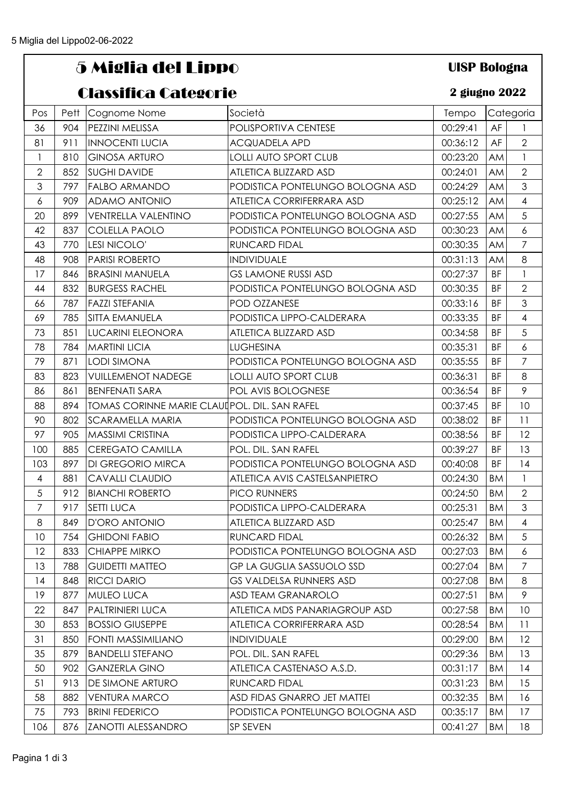## 5 Miglia del Lippo

## Classifica Categorie

## **UISP Bologna**

## **2 giugno 2022**

|                  |      | ciussinua cuitecnic                           |                                  |          |           |                  |
|------------------|------|-----------------------------------------------|----------------------------------|----------|-----------|------------------|
| Pos              | Pett | Cognome Nome                                  | Società                          | Tempo    |           | Categoria        |
| 36               | 904  | PEZZINI MELISSA                               | POLISPORTIVA CENTESE             | 00:29:41 | AF        |                  |
| 81               | 911  | <b>INNOCENTI LUCIA</b>                        | <b>ACQUADELA APD</b>             | 00:36:12 | AF        | $\overline{2}$   |
| $\mathbf{1}$     | 810  | <b>GINOSA ARTURO</b>                          | <b>LOLLI AUTO SPORT CLUB</b>     | 00:23:20 | AM        | $\mathbf{1}$     |
| $\overline{2}$   | 852  | <b>SUGHI DAVIDE</b>                           | ATLETICA BLIZZARD ASD            | 00:24:01 | AM        | $\overline{2}$   |
| 3                | 797  | <b>FALBO ARMANDO</b>                          | PODISTICA PONTELUNGO BOLOGNA ASD | 00:24:29 | <b>AM</b> | $\mathfrak{Z}$   |
| $\boldsymbol{6}$ | 909  | <b>ADAMO ANTONIO</b>                          | ATLETICA CORRIFERRARA ASD        | 00:25:12 | <b>AM</b> | $\overline{4}$   |
| 20               | 899  | <b>VENTRELLA VALENTINO</b>                    | PODISTICA PONTELUNGO BOLOGNA ASD | 00:27:55 | <b>AM</b> | 5                |
| 42               | 837  | <b>COLELLA PAOLO</b>                          | PODISTICA PONTELUNGO BOLOGNA ASD | 00:30:23 | <b>AM</b> | $\boldsymbol{6}$ |
| 43               | 770  | LESI NICOLO'                                  | <b>RUNCARD FIDAL</b>             | 00:30:35 | <b>AM</b> | $\overline{7}$   |
| 48               | 908  | <b>PARISI ROBERTO</b>                         | <b>INDIVIDUALE</b>               | 00:31:13 | <b>AM</b> | 8                |
| 17               | 846  | <b>BRASINI MANUELA</b>                        | <b>GS LAMONE RUSSI ASD</b>       | 00:27:37 | <b>BF</b> | $\mathbf{I}$     |
| 44               | 832  | <b>BURGESS RACHEL</b>                         | PODISTICA PONTELUNGO BOLOGNA ASD | 00:30:35 | <b>BF</b> | $\overline{2}$   |
| 66               | 787  | <b>FAZZI STEFANIA</b>                         | POD OZZANESE                     | 00:33:16 | BF        | 3                |
| 69               | 785  | SITTA EMANUELA                                | PODISTICA LIPPO-CALDERARA        | 00:33:35 | <b>BF</b> | $\overline{4}$   |
| 73               | 851  | <b>LUCARINI ELEONORA</b>                      | ATLETICA BLIZZARD ASD            | 00:34:58 | BF        | 5                |
| 78               | 784  | <b>MARTINI LICIA</b>                          | <b>LUGHESINA</b>                 | 00:35:31 | <b>BF</b> | $\boldsymbol{6}$ |
| 79               | 871  | <b>LODI SIMONA</b>                            | PODISTICA PONTELUNGO BOLOGNA ASD | 00:35:55 | <b>BF</b> | $\overline{7}$   |
| 83               | 823  | <b>VUILLEMENOT NADEGE</b>                     | <b>LOLLI AUTO SPORT CLUB</b>     | 00:36:31 | <b>BF</b> | 8                |
| 86               | 861  | <b>BENFENATI SARA</b>                         | POL AVIS BOLOGNESE               | 00:36:54 | <b>BF</b> | $\mathcal{P}$    |
| 88               | 894  | TOMAS CORINNE MARIE CLAUI POL. DIL. SAN RAFEL |                                  | 00:37:45 | BF        | 10               |
| 90               | 802  | <b>SCARAMELLA MARIA</b>                       | PODISTICA PONTELUNGO BOLOGNA ASD | 00:38:02 | <b>BF</b> | 11               |
| 97               | 905  | <b>MASSIMI CRISTINA</b>                       | PODISTICA LIPPO-CALDERARA        | 00:38:56 | ΒF        | 12               |
| 100              | 885  | <b>CEREGATO CAMILLA</b>                       | POL. DIL. SAN RAFEL              | 00:39:27 | <b>BF</b> | 13               |
| 103              | 897  | <b>DI GREGORIO MIRCA</b>                      | PODISTICA PONTELUNGO BOLOGNA ASD | 00:40:08 | <b>BF</b> | 14               |
| $\overline{4}$   | 881  | <b>CAVALLI CLAUDIO</b>                        | ATLETICA AVIS CASTELSANPIETRO    | 00:24:30 | <b>BM</b> | $\mathbf{1}$     |
| 5                | 912  | <b>BIANCHI ROBERTO</b>                        | PICO RUNNERS                     | 00:24:50 | <b>BM</b> | $\overline{2}$   |
| $\overline{7}$   | 917  | <b>SETTI LUCA</b>                             | PODISTICA LIPPO-CALDERARA        | 00:25:31 | <b>BM</b> | $\mathfrak{S}$   |
| 8                | 849  | D'ORO ANTONIO                                 | ATLETICA BLIZZARD ASD            | 00:25:47 | <b>BM</b> | $\overline{4}$   |
| 10               | 754  | <b>GHIDONI FABIO</b>                          | RUNCARD FIDAL                    | 00:26:32 | <b>BM</b> | 5                |
| 12               | 833  | <b>CHIAPPE MIRKO</b>                          | PODISTICA PONTELUNGO BOLOGNA ASD | 00:27:03 | ВM        | 6                |
| 13               | 788  | <b>GUIDETTI MATTEO</b>                        | <b>GP LA GUGLIA SASSUOLO SSD</b> | 00:27:04 | ВM        | 7                |
| 14               | 848  | <b>RICCI DARIO</b>                            | <b>GS VALDELSA RUNNERS ASD</b>   | 00:27:08 | <b>BM</b> | 8                |
| 19               | 877  | <b>MULEO LUCA</b>                             | <b>ASD TEAM GRANAROLO</b>        | 00:27:51 | <b>BM</b> | 9                |
| 22               | 847  | <b>PALTRINIERI LUCA</b>                       | ATLETICA MDS PANARIAGROUP ASD    | 00:27:58 | <b>BM</b> | 10               |
| 30               | 853  | <b>BOSSIO GIUSEPPE</b>                        | ATLETICA CORRIFERRARA ASD        | 00:28:54 | <b>BM</b> | 11               |
| 31               | 850  | <b>FONTI MASSIMILIANO</b>                     | <b>INDIVIDUALE</b>               | 00:29:00 | <b>BM</b> | 12               |
| 35               | 879  | <b>BANDELLI STEFANO</b>                       | POL. DIL. SAN RAFEL              | 00:29:36 | BM        | 13               |
| 50               | 902  | <b>GANZERLA GINO</b>                          | ATLETICA CASTENASO A.S.D.        | 00:31:17 | ВM        | 14               |
| 51               | 913  | <b>DE SIMONE ARTURO</b>                       | RUNCARD FIDAL                    | 00:31:23 | <b>BM</b> | 15               |
| 58               | 882  | <b>VENTURA MARCO</b>                          | ASD FIDAS GNARRO JET MATTEI      | 00:32:35 | <b>BM</b> | 16               |
| 75               | 793  | <b>BRINI FEDERICO</b>                         | PODISTICA PONTELUNGO BOLOGNA ASD | 00:35:17 | <b>BM</b> | 17               |
| 106              | 876  | <b>ZANOTTI ALESSANDRO</b>                     | SP SEVEN                         | 00:41:27 | <b>BM</b> | 18               |
|                  |      |                                               |                                  |          |           |                  |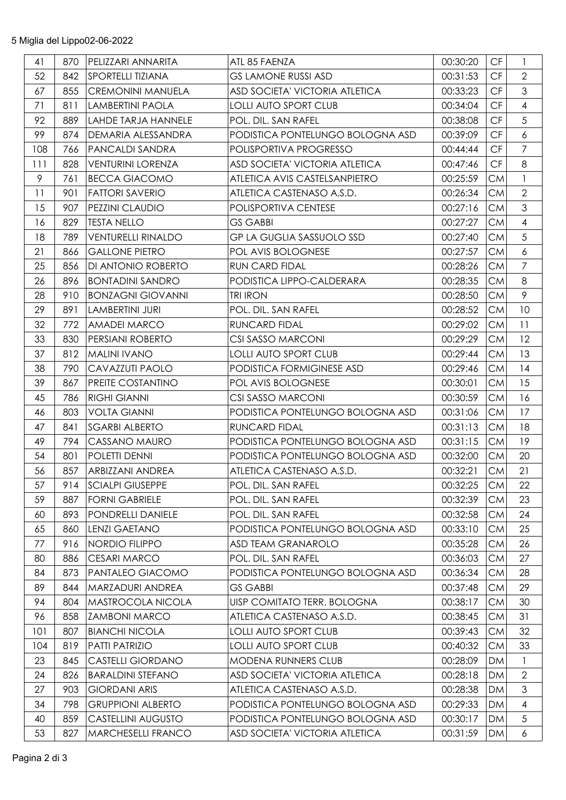| 41  | 870 | PELIZZARI ANNARITA        | ATL 85 FAENZA                    | 00:30:20 | CF                     | $\mathbf{1}$     |
|-----|-----|---------------------------|----------------------------------|----------|------------------------|------------------|
| 52  | 842 | SPORTELLI TIZIANA         | <b>GS LAMONE RUSSI ASD</b>       | 00:31:53 | CF                     | $\overline{2}$   |
| 67  | 855 | <b>CREMONINI MANUELA</b>  | ASD SOCIETA' VICTORIA ATLETICA   | 00:33:23 | CF                     | $\mathfrak{S}$   |
| 71  | 811 | LAMBERTINI PAOLA          | <b>LOLLI AUTO SPORT CLUB</b>     | 00:34:04 | $\mathsf{C}\mathsf{F}$ | $\overline{4}$   |
| 92  | 889 | LAHDE TARJA HANNELE       | POL. DIL. SAN RAFEL              | 00:38:08 | CF                     | 5                |
| 99  | 874 | <b>DEMARIA ALESSANDRA</b> | PODISTICA PONTELUNGO BOLOGNA ASD | 00:39:09 | CF                     | $\boldsymbol{6}$ |
| 108 | 766 | PANCALDI SANDRA           | POLISPORTIVA PROGRESSO           | 00:44:44 | CF                     | $\overline{7}$   |
| 111 | 828 | <b>VENTURINI LORENZA</b>  | ASD SOCIETA' VICTORIA ATLETICA   | 00:47:46 | $\mathsf{C}\mathsf{F}$ | 8                |
| 9   | 761 | <b>BECCA GIACOMO</b>      | ATLETICA AVIS CASTELSANPIETRO    | 00:25:59 | <b>CM</b>              | $\mathbf{1}$     |
| 11  | 901 | <b>FATTORI SAVERIO</b>    | ATLETICA CASTENASO A.S.D.        | 00:26:34 | <b>CM</b>              | $\overline{2}$   |
| 15  | 907 | <b>PEZZINI CLAUDIO</b>    | POLISPORTIVA CENTESE             | 00:27:16 | <b>CM</b>              | $\mathfrak{S}$   |
| 16  | 829 | <b>TESTA NELLO</b>        | <b>GS GABBI</b>                  | 00:27:27 | <b>CM</b>              | $\overline{4}$   |
| 18  | 789 | <b>VENTURELLI RINALDO</b> | <b>GP LA GUGLIA SASSUOLO SSD</b> | 00:27:40 | <b>CM</b>              | 5                |
| 21  | 866 | <b>GALLONE PIETRO</b>     | POL AVIS BOLOGNESE               | 00:27:57 | <b>CM</b>              | $\boldsymbol{6}$ |
| 25  | 856 | DI ANTONIO ROBERTO        | <b>RUN CARD FIDAL</b>            | 00:28:26 | <b>CM</b>              | $\overline{7}$   |
| 26  | 896 | <b>BONTADINI SANDRO</b>   | PODISTICA LIPPO-CALDERARA        | 00:28:35 | <b>CM</b>              | 8                |
| 28  | 910 | <b>BONZAGNI GIOVANNI</b>  | <b>TRI IRON</b>                  | 00:28:50 | <b>CM</b>              | 9                |
| 29  | 891 | LAMBERTINI JURI           | POL. DIL. SAN RAFEL              | 00:28:52 | <b>CM</b>              | 10               |
| 32  | 772 | <b>AMADEI MARCO</b>       | RUNCARD FIDAL                    | 00:29:02 | <b>CM</b>              | 11               |
| 33  | 830 | PERSIANI ROBERTO          | CSI SASSO MARCONI                | 00:29:29 | <b>CM</b>              | 12               |
| 37  | 812 | <b>MALINI IVANO</b>       | <b>LOLLI AUTO SPORT CLUB</b>     | 00:29:44 | <b>CM</b>              | 13               |
| 38  | 790 | CAVAZZUTI PAOLO           | PODISTICA FORMIGINESE ASD        | 00:29:46 | <b>CM</b>              | 14               |
| 39  | 867 | <b>PREITE COSTANTINO</b>  | POL AVIS BOLOGNESE               | 00:30:01 | <b>CM</b>              | 15               |
| 45  | 786 | <b>RIGHI GIANNI</b>       | CSI SASSO MARCONI                | 00:30:59 | <b>CM</b>              | 16               |
| 46  | 803 | <b>VOLTA GIANNI</b>       | PODISTICA PONTELUNGO BOLOGNA ASD | 00:31:06 | <b>CM</b>              | 17               |
| 47  | 841 | <b>SGARBI ALBERTO</b>     | <b>RUNCARD FIDAL</b>             | 00:31:13 | <b>CM</b>              | 18               |
| 49  | 794 | CASSANO MAURO             | PODISTICA PONTELUNGO BOLOGNA ASD | 00:31:15 | <b>CM</b>              | 19               |
| 54  | 801 | POLETTI DENNI             | PODISTICA PONTELUNGO BOLOGNA ASD | 00:32:00 | <b>CM</b>              | 20               |
| 56  | 857 | <b>ARBIZZANI ANDREA</b>   | ATLETICA CASTENASO A.S.D.        | 00:32:21 | <b>CM</b>              | 21               |
| 57  | 914 | <b>SCIALPI GIUSEPPE</b>   | POL. DIL. SAN RAFEL              | 00:32:25 | <b>CM</b>              | 22               |
| 59  | 887 | <b>FORNI GABRIELE</b>     | POL. DIL. SAN RAFEL              | 00:32:39 | <b>CM</b>              | 23               |
| 60  | 893 | PONDRELLI DANIELE         | POL. DIL. SAN RAFEL              | 00:32:58 | <b>CM</b>              | 24               |
| 65  | 860 | LENZI GAETANO             | PODISTICA PONTELUNGO BOLOGNA ASD | 00:33:10 | <b>CM</b>              | 25               |
| 77  | 916 | NORDIO FILIPPO            | <b>ASD TEAM GRANAROLO</b>        | 00:35:28 | <b>CM</b>              | 26               |
| 80  | 886 | <b>CESARI MARCO</b>       | POL. DIL. SAN RAFEL              | 00:36:03 | <b>CM</b>              | 27               |
| 84  | 873 | PANTALEO GIACOMO          | PODISTICA PONTELUNGO BOLOGNA ASD | 00:36:34 | <b>CM</b>              | 28               |
| 89  | 844 | <b>MARZADURI ANDREA</b>   | <b>GS GABBI</b>                  | 00:37:48 | <b>CM</b>              | 29               |
| 94  | 804 | <b>MASTROCOLA NICOLA</b>  | UISP COMITATO TERR. BOLOGNA      | 00:38:17 | <b>CM</b>              | 30               |
| 96  | 858 | <b>ZAMBONI MARCO</b>      | ATLETICA CASTENASO A.S.D.        | 00:38:45 | <b>CM</b>              | 31               |
| 101 | 807 | <b>BIANCHI NICOLA</b>     | <b>LOLLI AUTO SPORT CLUB</b>     | 00:39:43 | <b>CM</b>              | 32               |
| 104 | 819 | <b>PATTI PATRIZIO</b>     | <b>LOLLI AUTO SPORT CLUB</b>     | 00:40:32 | <b>CM</b>              | 33               |
| 23  | 845 | <b>CASTELLI GIORDANO</b>  | MODENA RUNNERS CLUB              | 00:28:09 | DM                     | $\mathbf{1}$     |
| 24  | 826 | <b>BARALDINI STEFANO</b>  | ASD SOCIETA' VICTORIA ATLETICA   | 00:28:18 | DM                     | $\overline{2}$   |
| 27  | 903 | <b>GIORDANI ARIS</b>      | ATLETICA CASTENASO A.S.D.        | 00:28:38 | <b>DM</b>              | $\mathfrak{S}$   |
| 34  | 798 | <b>GRUPPIONI ALBERTO</b>  | PODISTICA PONTELUNGO BOLOGNA ASD | 00:29:33 | <b>DM</b>              | $\overline{4}$   |
| 40  | 859 | <b>CASTELLINI AUGUSTO</b> | PODISTICA PONTELUNGO BOLOGNA ASD | 00:30:17 | <b>DM</b>              | 5                |
| 53  | 827 | <b>MARCHESELLI FRANCO</b> | ASD SOCIETA' VICTORIA ATLETICA   | 00:31:59 | DM                     | 6                |